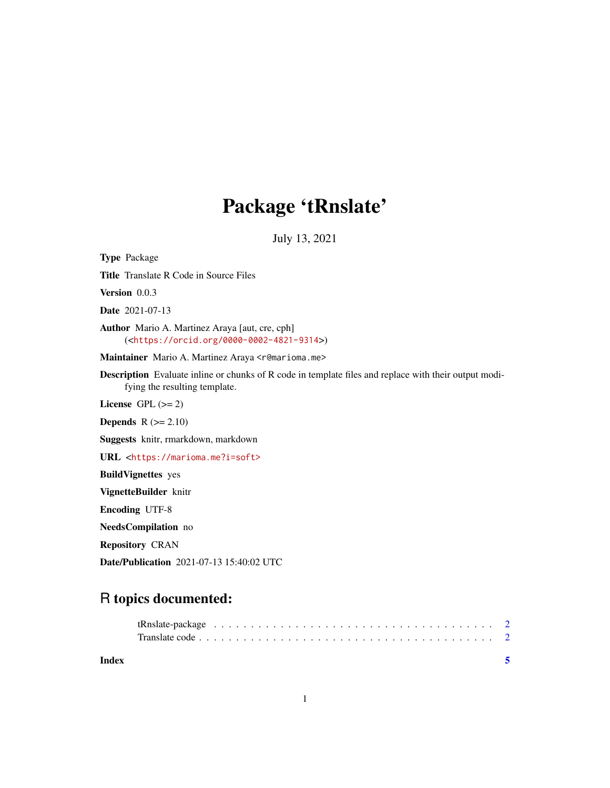## Package 'tRnslate'

July 13, 2021

Type Package Title Translate R Code in Source Files Version 0.0.3 Date 2021-07-13 Author Mario A. Martinez Araya [aut, cre, cph] (<<https://orcid.org/0000-0002-4821-9314>>) Maintainer Mario A. Martinez Araya <r@marioma.me> Description Evaluate inline or chunks of R code in template files and replace with their output modifying the resulting template. License GPL  $(>= 2)$ **Depends**  $R$  ( $>= 2.10$ ) Suggests knitr, rmarkdown, markdown URL <<https://marioma.me?i=soft>> BuildVignettes yes VignetteBuilder knitr Encoding UTF-8 NeedsCompilation no Repository CRAN Date/Publication 2021-07-13 15:40:02 UTC

### R topics documented:

| Index |  |
|-------|--|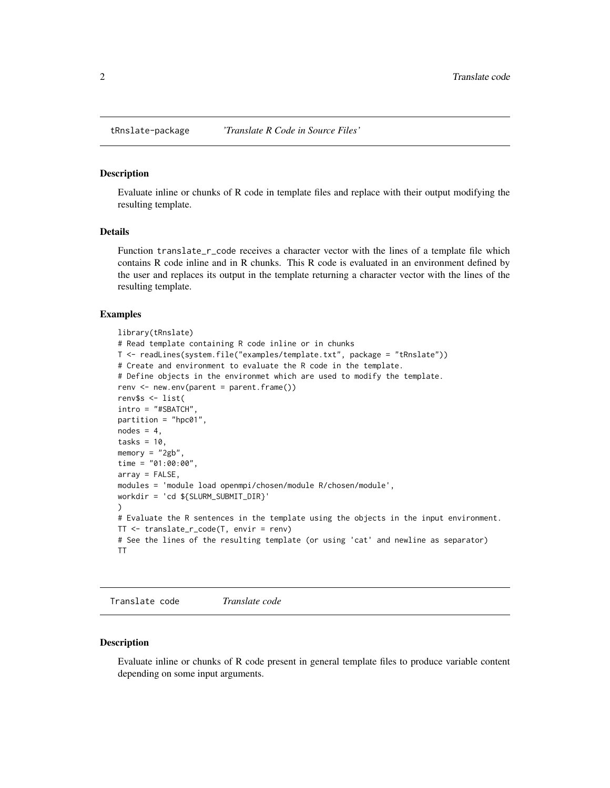<span id="page-1-1"></span><span id="page-1-0"></span>

#### Description

Evaluate inline or chunks of R code in template files and replace with their output modifying the resulting template.

#### Details

Function translate\_r\_code receives a character vector with the lines of a template file which contains R code inline and in R chunks. This R code is evaluated in an environment defined by the user and replaces its output in the template returning a character vector with the lines of the resulting template.

#### Examples

```
library(tRnslate)
# Read template containing R code inline or in chunks
T <- readLines(system.file("examples/template.txt", package = "tRnslate"))
# Create and environment to evaluate the R code in the template.
# Define objects in the environmet which are used to modify the template.
renv <- new.env(parent = parent.frame())
renv$s <- list(
intro = "#SBATCH",
partition = "hpc01",
nodes = 4,
tasks = 10,
memory = "2gb",
time = "01:00:00",
array = FALSE,
modules = 'module load openmpi/chosen/module R/chosen/module',
workdir = 'cd ${SLURM_SUBMIT_DIR}'
)
# Evaluate the R sentences in the template using the objects in the input environment.
TT <- translate_r_code(T, envir = renv)
# See the lines of the resulting template (or using 'cat' and newline as separator)
TT
```
Translate code *Translate code*

#### Description

Evaluate inline or chunks of R code present in general template files to produce variable content depending on some input arguments.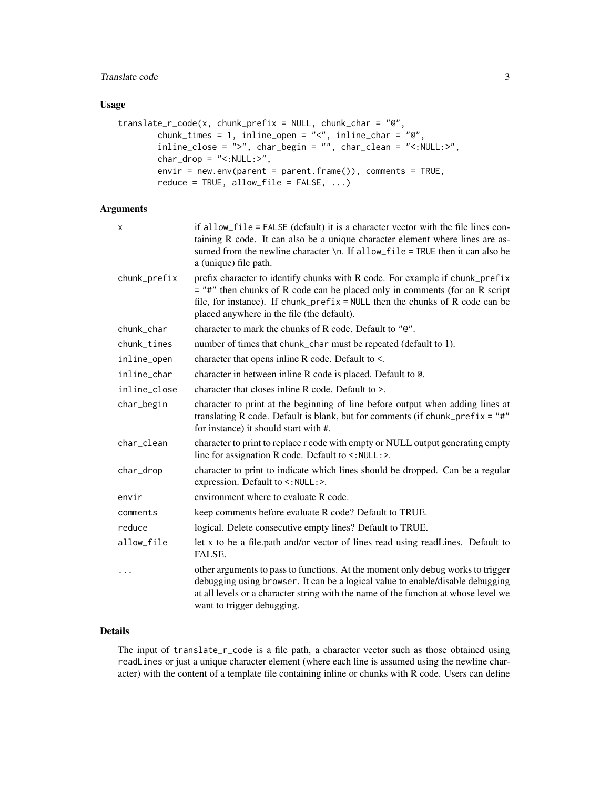#### Translate code 3

#### Usage

```
translate_r_code(x, chunk_prefix = NULL, chunk_char = "@",
       chunk_times = 1, inline_open = "<", inline_char = "@",
       inline_close = ">", char_begin = "", char_clean = "<:NULL:>",
       char\_drop = "<:NULL:>",envir = new.env(parent = parent.frame()), comments = TRUE,
       reduce = TRUE, allow_file = FALSE, ...)
```
#### Arguments

| x            | if allow_file = FALSE (default) it is a character vector with the file lines con-<br>taining R code. It can also be a unique character element where lines are as-<br>sumed from the newline character \n. If allow_file = TRUE then it can also be<br>a (unique) file path.                  |
|--------------|-----------------------------------------------------------------------------------------------------------------------------------------------------------------------------------------------------------------------------------------------------------------------------------------------|
| chunk_prefix | prefix character to identify chunks with R code. For example if chunk_prefix<br>$=$ "#" then chunks of R code can be placed only in comments (for an R script<br>file, for instance). If chunk_prefix = $NULL$ then the chunks of R code can be<br>placed anywhere in the file (the default). |
| chunk_char   | character to mark the chunks of R code. Default to "@".                                                                                                                                                                                                                                       |
| chunk_times  | number of times that chunk_char must be repeated (default to 1).                                                                                                                                                                                                                              |
| inline_open  | character that opens inline R code. Default to <.                                                                                                                                                                                                                                             |
| inline_char  | character in between inline R code is placed. Default to @.                                                                                                                                                                                                                                   |
| inline_close | character that closes inline R code. Default to >.                                                                                                                                                                                                                                            |
| char_begin   | character to print at the beginning of line before output when adding lines at<br>translating R code. Default is blank, but for comments (if chunk_prefix = $"#$ "<br>for instance) it should start with #.                                                                                   |
| char_clean   | character to print to replace r code with empty or NULL output generating empty<br>line for assignation R code. Default to <: NULL:>.                                                                                                                                                         |
| char_drop    | character to print to indicate which lines should be dropped. Can be a regular<br>expression. Default to <: NULL:>.                                                                                                                                                                           |
| envir        | environment where to evaluate R code.                                                                                                                                                                                                                                                         |
| comments     | keep comments before evaluate R code? Default to TRUE.                                                                                                                                                                                                                                        |
| reduce       | logical. Delete consecutive empty lines? Default to TRUE.                                                                                                                                                                                                                                     |
| allow_file   | let x to be a file.path and/or vector of lines read using readLines. Default to<br>FALSE.                                                                                                                                                                                                     |
| $\ddots$     | other arguments to pass to functions. At the moment only debug works to trigger<br>debugging using browser. It can be a logical value to enable/disable debugging<br>at all levels or a character string with the name of the function at whose level we<br>want to trigger debugging.        |

#### Details

The input of translate\_r\_code is a file path, a character vector such as those obtained using readLines or just a unique character element (where each line is assumed using the newline character) with the content of a template file containing inline or chunks with R code. Users can define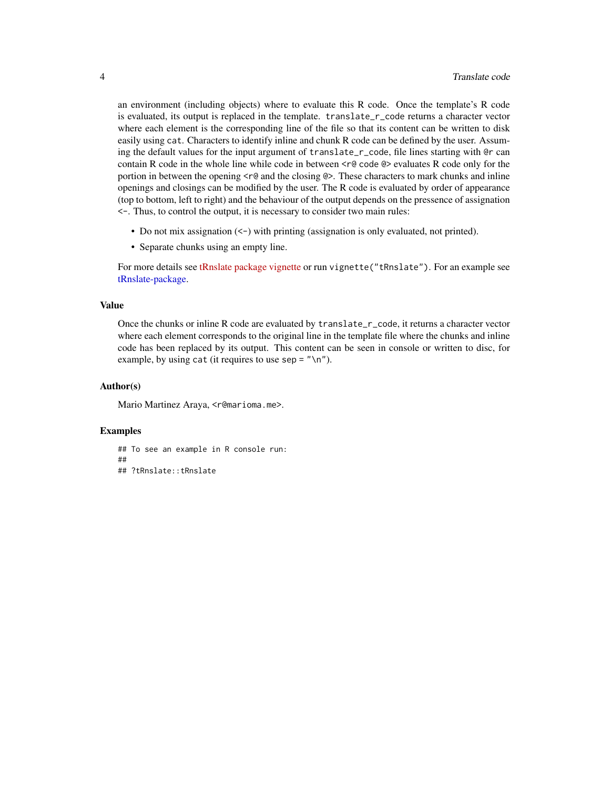<span id="page-3-0"></span>an environment (including objects) where to evaluate this R code. Once the template's R code is evaluated, its output is replaced in the template. translate\_r\_code returns a character vector where each element is the corresponding line of the file so that its content can be written to disk easily using cat. Characters to identify inline and chunk R code can be defined by the user. Assuming the default values for the input argument of translate\_r\_code, file lines starting with @r can contain R code in the whole line while code in between  $\langle$ r $\theta$  code  $\theta$ > evaluates R code only for the portion in between the opening  $\leq \theta$  and the closing  $\circledcirc$ . These characters to mark chunks and inline openings and closings can be modified by the user. The R code is evaluated by order of appearance (top to bottom, left to right) and the behaviour of the output depends on the pressence of assignation <-. Thus, to control the output, it is necessary to consider two main rules:

- Do not mix assignation (<-) with printing (assignation is only evaluated, not printed).
- Separate chunks using an empty line.

For more details see [tRnslate package vignette](../doc/tRnslate.html) or run vignette ("tRnslate"). For an example see [tRnslate-package.](#page-1-1)

#### Value

Once the chunks or inline R code are evaluated by translate\_r\_code, it returns a character vector where each element corresponds to the original line in the template file where the chunks and inline code has been replaced by its output. This content can be seen in console or written to disc, for example, by using cat (it requires to use sep =  $''\n\rightharpoonup$ n").

#### Author(s)

Mario Martinez Araya, <r@marioma.me>.

#### Examples

## To see an example in R console run: ## ## ?tRnslate::tRnslate